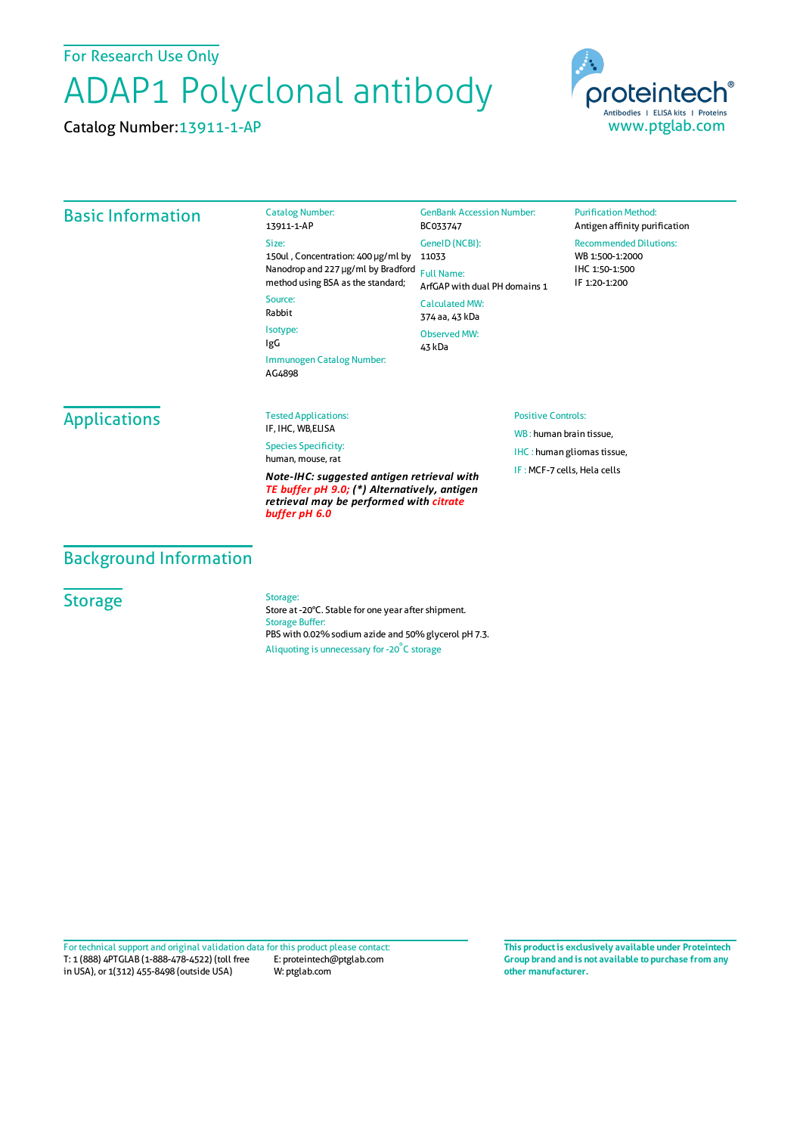For Research Use Only

# ADAP1 Polyclonal antibody

Catalog Number:13911-1-AP



## Basic Information

13911-1-AP Size: 150ul , Concentration: 400 μg/ml by 11033 Nanodrop and 227 μg/ml by Bradford Full Name: method using BSA as the standard;

Source: Rabbit Isotype: IgG

Catalog Number:

Immunogen Catalog Number: AG4898

BC033747 GeneID(NCBI): ArfGAP with dual PH domains 1 CalculatedMW: 374 aa, 43 kDa Observed MW:

43 kDa

GenBank Accession Number:

#### **Purification Method:** Antigen affinity purification

Recommended Dilutions: WB 1:500-1:2000 IHC 1:50-1:500 IF 1:20-1:200

## Applications

Tested Applications: IF, IHC, WB,ELISA

Species Specificity: human, mouse, rat

*Note-IHC: suggested antigen retrieval with TE buffer pH 9.0; (\*) Alternatively, antigen retrieval may be performed with citrate buffer pH 6.0*

#### Positive Controls:

WB : human brain tissue, IHC : human gliomas tissue, IF :MCF-7 cells, Hela cells

## Background Information

## **Storage**

Storage:

Store at -20°C. Stable for one year after shipment. Storage Buffer: PBS with 0.02% sodium azide and 50% glycerol pH 7.3. Aliquoting is unnecessary for -20<sup>°</sup>C storage

T: 1 (888) 4PTGLAB (1-888-478-4522) (toll free in USA), or 1(312) 455-8498 (outside USA) E: proteintech@ptglab.com W: ptglab.com Fortechnical support and original validation data forthis product please contact: **This productis exclusively available under Proteintech**

**Group brand and is not available to purchase from any other manufacturer.**